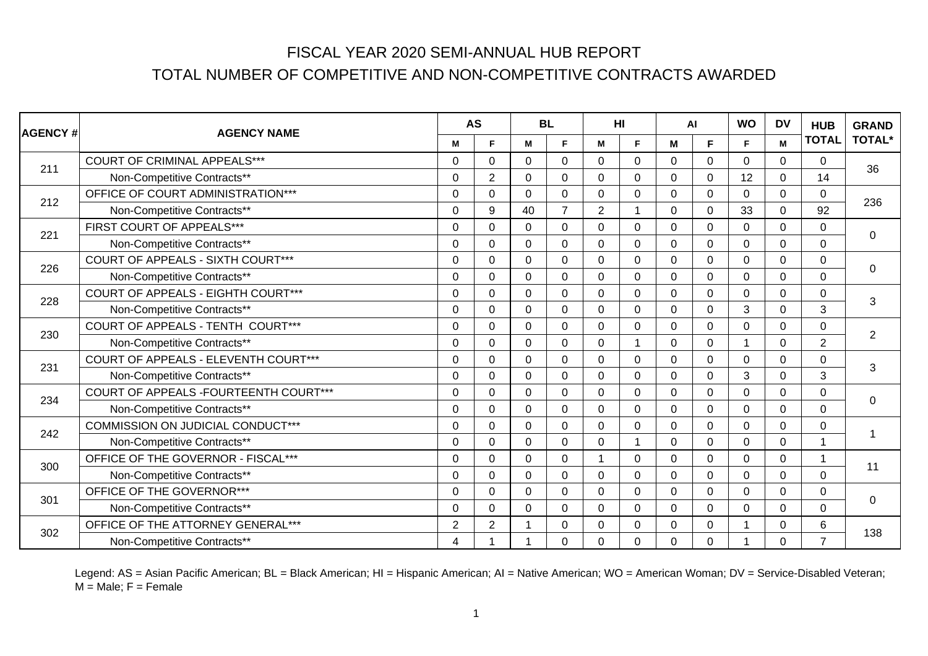| <b>AGENCY#</b> | <b>AGENCY NAME</b>                           |                | <b>AS</b>      | <b>BL</b> |                | H <sub>II</sub> |              | <b>AI</b>   |             | <b>WO</b>    | <b>DV</b> | <b>HUB</b>     | <b>GRAND</b>   |
|----------------|----------------------------------------------|----------------|----------------|-----------|----------------|-----------------|--------------|-------------|-------------|--------------|-----------|----------------|----------------|
|                |                                              | M              | F.             | M         | F.             | M               | F.           | м           | F.          | F            | M         | <b>TOTAL</b>   | <b>TOTAL*</b>  |
| 211            | <b>COURT OF CRIMINAL APPEALS***</b>          | $\Omega$       | $\Omega$       | $\Omega$  | $\Omega$       | $\Omega$        | $\Omega$     | $\Omega$    | $\Omega$    | $\Omega$     | $\Omega$  | 0              | 36             |
|                | Non-Competitive Contracts**                  | 0              | $\overline{2}$ | 0         | $\Omega$       | $\Omega$        | $\mathbf{0}$ | $\Omega$    | $\Omega$    | 12           | $\Omega$  | 14             |                |
| 212            | OFFICE OF COURT ADMINISTRATION***            | $\Omega$       | $\Omega$       | $\Omega$  | $\Omega$       | $\Omega$        | $\mathbf{0}$ | $\Omega$    | $\Omega$    | $\mathbf{0}$ | $\Omega$  | 0              | 236            |
|                | Non-Competitive Contracts**                  | $\Omega$       | 9              | 40        | $\overline{7}$ | 2               | 1            | $\Omega$    | 0           | 33           | $\Omega$  | 92             |                |
| 221            | FIRST COURT OF APPEALS***                    | $\Omega$       | $\Omega$       | 0         | $\mathbf 0$    | $\mathbf 0$     | $\mathbf 0$  | $\Omega$    | $\mathbf 0$ | $\mathbf 0$  | $\Omega$  | 0              | $\mathbf 0$    |
|                | Non-Competitive Contracts**                  | $\Omega$       | $\Omega$       | 0         | $\Omega$       | $\mathbf 0$     | $\mathbf{0}$ | $\Omega$    | $\Omega$    | $\mathbf{0}$ | $\Omega$  | 0              |                |
| 226            | COURT OF APPEALS - SIXTH COURT***            | 0              | 0              | 0         | $\mathbf 0$    | $\Omega$        | $\mathbf 0$  | $\Omega$    | $\mathbf 0$ | $\Omega$     | $\Omega$  | 0              |                |
|                | Non-Competitive Contracts**                  | $\Omega$       | $\Omega$       | $\Omega$  | $\mathbf 0$    | $\mathbf 0$     | $\mathbf 0$  | $\Omega$    | $\mathbf 0$ | 0            | $\Omega$  | 0              | $\mathbf 0$    |
| 228            | COURT OF APPEALS - EIGHTH COURT***           | $\Omega$       | 0              | $\Omega$  | $\mathbf 0$    | $\Omega$        | $\mathbf 0$  | $\Omega$    | $\mathbf 0$ | 0            | $\Omega$  | 0              |                |
|                | Non-Competitive Contracts**                  | $\Omega$       | $\Omega$       | $\Omega$  | $\mathbf 0$    | $\Omega$        | $\mathbf 0$  | $\Omega$    | $\mathbf 0$ | 3            | $\Omega$  | 3              | 3              |
| 230            | COURT OF APPEALS - TENTH COURT***            | $\Omega$       | $\Omega$       | $\Omega$  | $\Omega$       | $\Omega$        | $\Omega$     | $\Omega$    | $\Omega$    | $\Omega$     | $\Omega$  | 0              |                |
|                | Non-Competitive Contracts**                  | 0              | 0              | 0         | $\mathbf 0$    | $\Omega$        | 1            | $\Omega$    | 0           |              | $\Omega$  | $\overline{2}$ | $\overline{2}$ |
|                | <b>COURT OF APPEALS - ELEVENTH COURT***</b>  | $\Omega$       | $\Omega$       | $\Omega$  | $\Omega$       | $\Omega$        | $\mathbf{0}$ | $\Omega$    | $\Omega$    | $\Omega$     | $\Omega$  | 0              |                |
| 231            | Non-Competitive Contracts**                  | $\Omega$       | $\Omega$       | $\Omega$  | $\Omega$       | $\Omega$        | $\mathbf{0}$ | $\Omega$    | $\Omega$    | 3            | $\Omega$  | 3              | 3              |
| 234            | <b>COURT OF APPEALS -FOURTEENTH COURT***</b> | $\Omega$       | $\Omega$       | 0         | $\mathbf 0$    | $\mathbf 0$     | $\mathbf 0$  | $\Omega$    | $\mathbf 0$ | 0            | $\Omega$  | 0              |                |
|                | Non-Competitive Contracts**                  | $\Omega$       | $\Omega$       | $\Omega$  | $\Omega$       | $\Omega$        | $\Omega$     | $\Omega$    | $\Omega$    | $\Omega$     | $\Omega$  | 0              | $\mathbf 0$    |
| 242            | COMMISSION ON JUDICIAL CONDUCT***            | 0              | $\Omega$       | $\Omega$  | $\overline{0}$ | $\mathbf 0$     | $\mathbf 0$  | $\Omega$    | $\mathbf 0$ | $\Omega$     | $\Omega$  | 0              |                |
|                | Non-Competitive Contracts**                  | $\Omega$       | $\Omega$       | $\Omega$  | $\mathbf 0$    | $\mathbf 0$     | 1            | $\mathbf 0$ | $\mathbf 0$ | 0            | $\Omega$  |                |                |
| 300            | OFFICE OF THE GOVERNOR - FISCAL***           | $\Omega$       | $\Omega$       | $\Omega$  | $\mathbf 0$    |                 | $\mathbf{0}$ | $\Omega$    | $\mathbf 0$ | $\Omega$     | $\Omega$  |                |                |
|                | Non-Competitive Contracts**                  | $\Omega$       | 0              | $\Omega$  | $\mathbf 0$    | $\mathbf 0$     | $\mathbf 0$  | $\Omega$    | $\mathbf 0$ | $\Omega$     | $\Omega$  | 0              | 11             |
|                | OFFICE OF THE GOVERNOR***                    | $\Omega$       | $\mathbf 0$    | $\Omega$  | $\mathbf 0$    | $\Omega$        | $\mathbf 0$  | $\Omega$    | $\mathbf 0$ | $\Omega$     | $\Omega$  | 0              |                |
| 301            | Non-Competitive Contracts**                  | 0              | 0              | 0         | $\mathbf 0$    | $\mathbf 0$     | $\mathbf 0$  | $\Omega$    | $\Omega$    | $\Omega$     | $\Omega$  | 0              | $\mathbf 0$    |
|                | OFFICE OF THE ATTORNEY GENERAL***            | $\overline{2}$ | $\overline{2}$ |           | $\Omega$       | $\Omega$        | $\mathbf{0}$ | $\Omega$    | 0           |              | $\Omega$  | 6              |                |
| 302            | Non-Competitive Contracts**                  | 4              |                |           | $\Omega$       | $\Omega$        | $\Omega$     | $\Omega$    | $\Omega$    |              | $\Omega$  | $\overline{7}$ | 138            |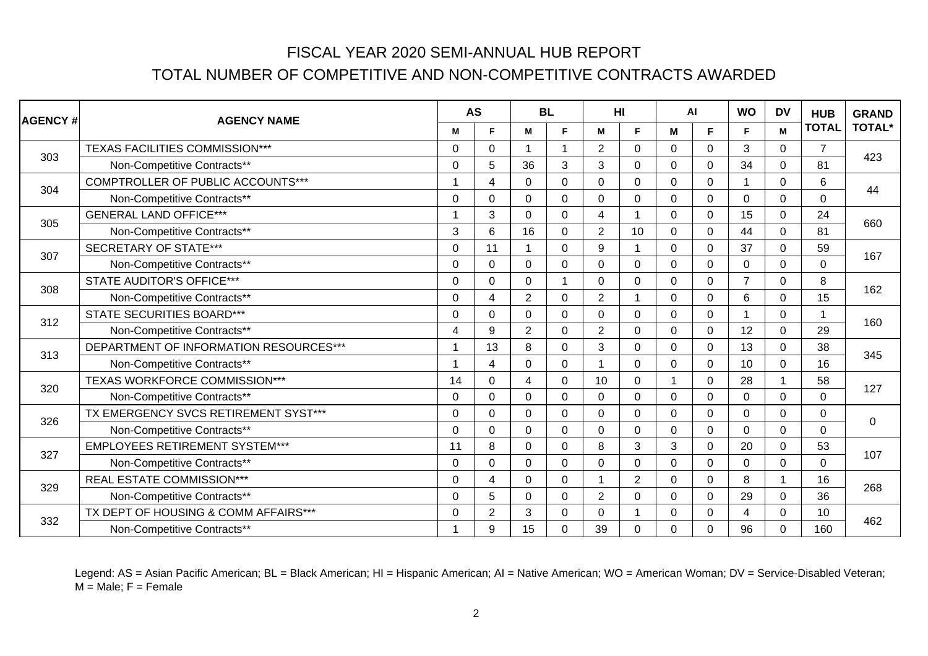| <b>AGENCY#</b> | <b>AGENCY NAME</b>                     |          | <b>AS</b>      |                | <b>BL</b>      | <b>HI</b>      |             | <b>AI</b>      |              | <b>WO</b>       | DV             | <b>HUB</b>     | <b>GRAND</b>   |
|----------------|----------------------------------------|----------|----------------|----------------|----------------|----------------|-------------|----------------|--------------|-----------------|----------------|----------------|----------------|
|                |                                        | M        | F.             | M              | F              | М              | F           | M              | F            | F               | M              | <b>TOTAL</b>   | <b>TOTAL*</b>  |
| 303            | TEXAS FACILITIES COMMISSION***         | $\Omega$ | 0              | 1              | $\overline{1}$ | 2              | $\Omega$    | $\Omega$       | $\mathbf{0}$ | 3               | $\Omega$       | $\overline{7}$ | 423            |
|                | Non-Competitive Contracts**            | $\Omega$ | 5              | 36             | 3              | 3              | $\Omega$    | $\Omega$       | $\Omega$     | 34              | $\Omega$       | 81             |                |
| 304            | COMPTROLLER OF PUBLIC ACCOUNTS***      |          | 4              | $\Omega$       | $\Omega$       | $\Omega$       | $\Omega$    | $\Omega$       | $\Omega$     | 1               | $\Omega$       | 6              | 44             |
|                | Non-Competitive Contracts**            | 0        | 0              | 0              | $\mathbf 0$    | $\Omega$       | $\mathbf 0$ | 0              | $\mathbf 0$  | $\Omega$        | $\Omega$       | $\overline{0}$ |                |
| 305            | <b>GENERAL LAND OFFICE***</b>          |          | 3              | $\Omega$       | $\mathbf 0$    | 4              | $\mathbf 1$ | $\Omega$       | $\Omega$     | 15              | $\Omega$       | 24             | 660            |
|                | Non-Competitive Contracts**            | 3        | 6              | 16             | $\mathbf 0$    | 2              | 10          | $\Omega$       | $\Omega$     | 44              | $\Omega$       | 81             |                |
| 307            | <b>SECRETARY OF STATE***</b>           | $\Omega$ | 11             |                | $\mathbf 0$    | 9              | 1           | $\Omega$       | $\mathbf 0$  | 37              | $\Omega$       | 59             | 167            |
|                | Non-Competitive Contracts**            | $\Omega$ | $\Omega$       | $\Omega$       | $\mathbf 0$    | $\mathbf{0}$   | $\Omega$    | $\Omega$       | $\Omega$     | $\Omega$        | $\Omega$       | $\mathbf 0$    |                |
| 308            | <b>STATE AUDITOR'S OFFICE***</b>       | 0        | 0              | $\Omega$       | 1              | 0              | 0           | 0              | $\mathbf 0$  | 7               | $\Omega$       | 8              | 162            |
|                | Non-Competitive Contracts**            | 0        | 4              | $\overline{2}$ | $\mathbf 0$    | $\overline{2}$ | $\mathbf 1$ | $\overline{0}$ | $\mathbf 0$  | $6\phantom{1}6$ | $\Omega$       | 15             |                |
| 312            | <b>STATE SECURITIES BOARD***</b>       | $\Omega$ | 0              | $\Omega$       | $\mathbf 0$    | $\mathbf{0}$   | $\Omega$    | $\Omega$       | $\mathbf 0$  | 1               | $\Omega$       | 1              | 160            |
|                | Non-Competitive Contracts**            | 4        | 9              | $\overline{2}$ | $\mathbf 0$    | $\overline{2}$ | $\mathbf 0$ | $\Omega$       | $\mathbf 0$  | 12              | $\Omega$       | 29             |                |
| 313            | DEPARTMENT OF INFORMATION RESOURCES*** |          | 13             | 8              | $\mathbf 0$    | 3              | $\Omega$    | $\Omega$       | $\Omega$     | 13              | $\overline{0}$ | 38             | 345            |
|                | Non-Competitive Contracts**            |          | 4              | $\mathbf 0$    | $\mathbf 0$    |                | $\mathbf 0$ | $\Omega$       | $\mathbf 0$  | 10              | $\Omega$       | 16             |                |
| 320            | TEXAS WORKFORCE COMMISSION***          | 14       | 0              | 4              | $\mathbf 0$    | 10             | $\mathbf 0$ |                | $\Omega$     | 28              |                | 58             | 127            |
|                | Non-Competitive Contracts**            | $\Omega$ | 0              | $\Omega$       | $\mathbf 0$    | $\Omega$       | $\Omega$    | $\Omega$       | $\mathbf 0$  | $\Omega$        | $\Omega$       | $\mathbf 0$    |                |
| 326            | TX EMERGENCY SVCS RETIREMENT SYST***   | 0        | 0              | $\Omega$       | $\mathbf 0$    | $\mathbf 0$    | $\mathbf 0$ | $\Omega$       | 0            | $\Omega$        | $\overline{0}$ | $\mathbf 0$    | $\overline{0}$ |
|                | Non-Competitive Contracts**            | $\Omega$ | 0              | $\Omega$       | $\mathbf 0$    | $\Omega$       | $\mathbf 0$ | $\Omega$       | $\mathbf 0$  | $\Omega$        | $\Omega$       | $\overline{0}$ |                |
| 327            | <b>EMPLOYEES RETIREMENT SYSTEM***</b>  | 11       | 8              | $\Omega$       | $\mathbf 0$    | 8              | 3           | 3              | $\Omega$     | 20              | $\Omega$       | 53             | 107            |
|                | Non-Competitive Contracts**            | $\Omega$ | $\Omega$       | $\Omega$       | $\mathbf 0$    | $\Omega$       | $\Omega$    | $\Omega$       | $\Omega$     | $\Omega$        | $\Omega$       | $\mathbf 0$    |                |
| 329            | <b>REAL ESTATE COMMISSION***</b>       | $\Omega$ | 4              | $\Omega$       | $\mathbf 0$    | $\overline{1}$ | 2           | $\Omega$       | $\Omega$     | 8               | -1             | 16             | 268            |
|                | Non-Competitive Contracts**            | 0        | 5              | $\Omega$       | $\mathbf 0$    | $\overline{2}$ | $\Omega$    | $\Omega$       | 0            | 29              | $\Omega$       | 36             |                |
| 332            | TX DEPT OF HOUSING & COMM AFFAIRS***   | $\Omega$ | $\overline{2}$ | 3              | $\mathbf 0$    | $\Omega$       | 1           | $\Omega$       | $\Omega$     | 4               | $\Omega$       | 10             | 462            |
|                | Non-Competitive Contracts**            |          | 9              | 15             | $\mathbf 0$    | 39             | $\Omega$    | $\Omega$       | $\Omega$     | 96              | $\Omega$       | 160            |                |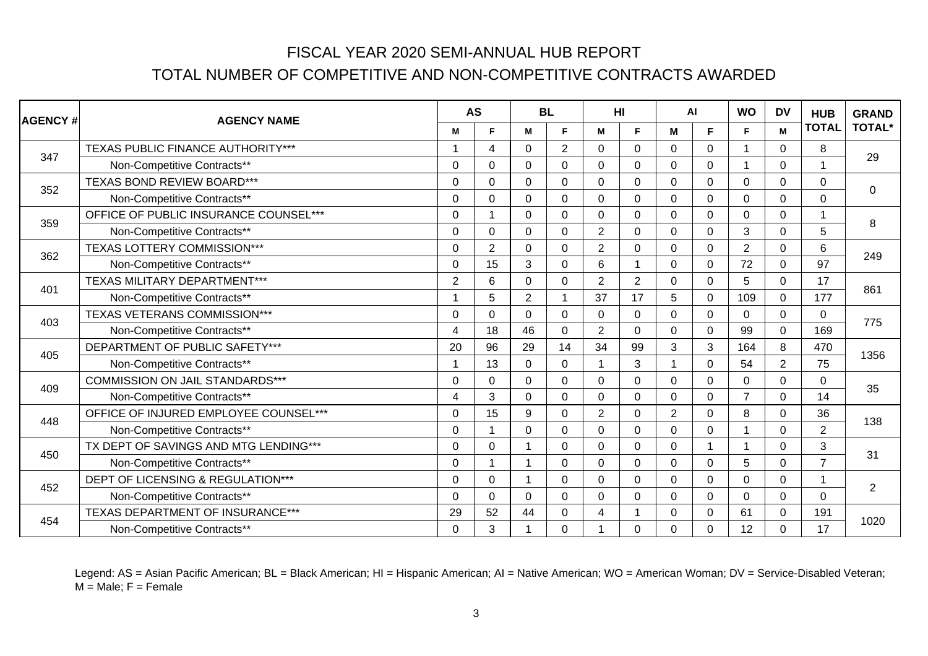| <b>AGENCY#</b> | <b>AGENCY NAME</b>                     |             | <b>AS</b>      |                | <b>BL</b>      |                | HI             |                | AI             | <b>WO</b>      | <b>DV</b>      | <b>HUB</b>     | <b>GRAND</b>   |
|----------------|----------------------------------------|-------------|----------------|----------------|----------------|----------------|----------------|----------------|----------------|----------------|----------------|----------------|----------------|
|                |                                        | м           | F.             | M              | F              | M              | F              | м              | F              | F              | M              | <b>TOTAL</b>   | <b>TOTAL*</b>  |
| 347            | TEXAS PUBLIC FINANCE AUTHORITY***      |             | 4              | $\Omega$       | 2              | $\Omega$       | $\Omega$       | $\Omega$       | $\Omega$       | 1              | $\Omega$       | 8              | 29             |
|                | Non-Competitive Contracts**            | 0           | 0              | 0              | $\mathbf 0$    | $\Omega$       | $\Omega$       | $\Omega$       | $\mathbf 0$    |                | $\Omega$       |                |                |
| 352            | <b>TEXAS BOND REVIEW BOARD***</b>      | $\Omega$    | $\Omega$       | $\Omega$       | $\Omega$       | $\mathbf{0}$   | $\Omega$       | $\Omega$       | $\mathbf{0}$   | $\Omega$       | $\mathbf 0$    | $\Omega$       | 0              |
|                | Non-Competitive Contracts**            | $\Omega$    | 0              | $\mathbf 0$    | $\mathbf 0$    | $\mathbf 0$    | $\mathbf 0$    | $\Omega$       | $\mathbf 0$    | $\Omega$       | $\Omega$       | $\mathbf 0$    |                |
| 359            | OFFICE OF PUBLIC INSURANCE COUNSEL***  | 0           |                | $\Omega$       | $\mathbf 0$    | $\mathbf 0$    | $\mathbf 0$    | $\overline{0}$ | $\mathbf 0$    | $\Omega$       | $\Omega$       | 1              | 8              |
|                | Non-Competitive Contracts**            | $\Omega$    | 0              | $\Omega$       | $\mathbf 0$    | $\overline{2}$ | $\Omega$       | $\Omega$       | $\mathbf 0$    | 3              | $\Omega$       | 5              |                |
| 362            | TEXAS LOTTERY COMMISSION***            | 0           | $\overline{2}$ | $\Omega$       | $\mathbf 0$    | $\overline{2}$ | $\mathbf 0$    | $\Omega$       | $\mathbf 0$    | $\overline{2}$ | $\overline{0}$ | 6              | 249            |
|                | Non-Competitive Contracts**            | $\Omega$    | 15             | 3              | $\Omega$       | 6              | 1              | $\Omega$       | $\Omega$       | 72             | $\Omega$       | 97             |                |
| 401            | TEXAS MILITARY DEPARTMENT***           | 2           | 6              | $\Omega$       | $\mathbf 0$    | $\overline{2}$ | $\overline{2}$ | $\Omega$       | $\Omega$       | 5              | $\Omega$       | 17             | 861            |
|                | Non-Competitive Contracts**            |             | 5              | $\overline{2}$ | $\overline{1}$ | 37             | 17             | 5              | $\Omega$       | 109            | $\Omega$       | 177            |                |
|                | TEXAS VETERANS COMMISSION***           | $\Omega$    | 0              | $\Omega$       | $\mathbf 0$    | $\Omega$       | $\Omega$       | $\Omega$       | $\mathbf 0$    | $\Omega$       | $\mathbf 0$    | $\Omega$       |                |
| 403            | Non-Competitive Contracts**            | 4           | 18             | 46             | $\mathbf 0$    | $\overline{2}$ | $\mathbf 0$    | $\overline{0}$ | $\mathbf 0$    | 99             | $\mathbf 0$    | 169            | 775            |
|                | DEPARTMENT OF PUBLIC SAFETY***         | 20          | 96             | 29             | 14             | 34             | 99             | 3              | 3              | 164            | 8              | 470            |                |
| 405            | Non-Competitive Contracts**            |             | 13             | $\Omega$       | $\mathbf 0$    |                | 3              |                | $\mathbf 0$    | 54             | $\overline{2}$ | 75             | 1356           |
|                | <b>COMMISSION ON JAIL STANDARDS***</b> | 0           | 0              | $\Omega$       | $\mathbf 0$    | $\Omega$       | $\mathbf 0$    | $\overline{0}$ | $\Omega$       | $\Omega$       | $\Omega$       | $\mathbf 0$    |                |
| 409            | Non-Competitive Contracts**            | 4           | 3              | $\Omega$       | $\Omega$       | $\Omega$       | $\Omega$       | $\Omega$       | $\Omega$       | $\overline{7}$ | $\Omega$       | 14             | 35             |
| 448            | OFFICE OF INJURED EMPLOYEE COUNSEL***  | $\Omega$    | 15             | 9              | $\mathbf 0$    | 2              | $\Omega$       | $\overline{2}$ | $\Omega$       | 8              | $\Omega$       | 36             | 138            |
|                | Non-Competitive Contracts**            | $\Omega$    |                | $\mathbf 0$    | $\mathbf 0$    | $\mathbf 0$    | $\mathbf 0$    | $\Omega$       | $\mathbf 0$    | 1              | $\Omega$       | $\overline{2}$ |                |
| 450            | TX DEPT OF SAVINGS AND MTG LENDING***  | $\Omega$    | 0              |                | $\mathbf 0$    | $\mathbf{0}$   | $\Omega$       | $\Omega$       |                | 1              | $\Omega$       | 3              | 31             |
|                | Non-Competitive Contracts**            | 0           |                | 1              | $\mathbf 0$    | $\overline{0}$ | $\overline{0}$ | $\overline{0}$ | $\overline{0}$ | 5              | $\overline{0}$ | $\overline{7}$ |                |
| 452            | DEPT OF LICENSING & REGULATION***      | $\mathbf 0$ | 0              | 1              | $\mathbf 0$    | $\Omega$       | $\Omega$       | $\Omega$       | $\mathbf 0$    | $\Omega$       | $\Omega$       | 1              |                |
|                | Non-Competitive Contracts**            | 0           | 0              | $\Omega$       | $\mathbf 0$    | $\mathbf 0$    | $\Omega$       | $\overline{0}$ | $\mathbf 0$    | $\Omega$       | $\overline{0}$ | $\mathbf 0$    | $\overline{2}$ |
|                | TEXAS DEPARTMENT OF INSURANCE***       | 29          | 52             | 44             | $\mathbf 0$    | 4              | 1              | $\Omega$       | $\Omega$       | 61             | $\Omega$       | 191            |                |
| 454            | Non-Competitive Contracts**            | $\Omega$    | 3              |                | $\Omega$       |                | $\Omega$       | $\Omega$       | $\Omega$       | 12             | $\Omega$       | 17             | 1020           |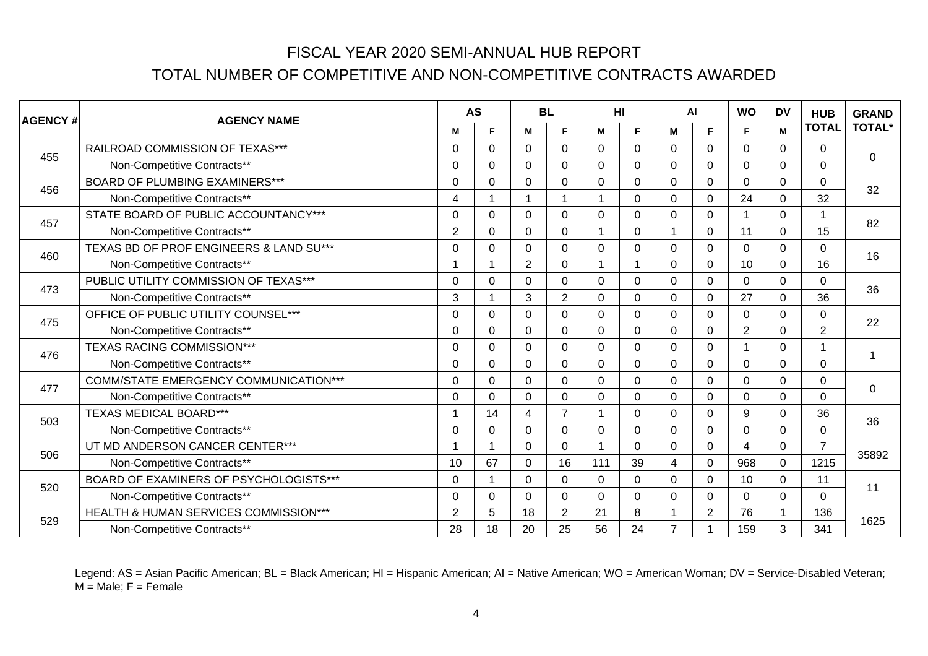| <b>AGENCY #</b> | <b>AGENCY NAME</b>                           |                | <b>AS</b>      |                | <b>BL</b>      | HI           |             |                | AI             | <b>WO</b>      | <b>DV</b>      | <b>HUB</b>     | <b>GRAND</b>     |
|-----------------|----------------------------------------------|----------------|----------------|----------------|----------------|--------------|-------------|----------------|----------------|----------------|----------------|----------------|------------------|
|                 |                                              | м              | F.             | M              | F              | M            | F           | м              | F              | F              | M              | <b>TOTAL</b>   | <b>TOTAL*</b>    |
| 455             | RAILROAD COMMISSION OF TEXAS***              | $\Omega$       | $\Omega$       | $\Omega$       | $\Omega$       | $\Omega$     | $\Omega$    | $\Omega$       | $\Omega$       | $\Omega$       | $\Omega$       | $\Omega$       | $\boldsymbol{0}$ |
|                 | Non-Competitive Contracts**                  | 0              | 0              | 0              | $\mathbf 0$    | $\Omega$     | $\Omega$    | $\Omega$       | 0              | $\Omega$       | $\Omega$       | $\mathbf 0$    |                  |
| 456             | <b>BOARD OF PLUMBING EXAMINERS***</b>        | $\Omega$       | 0              | $\Omega$       | $\Omega$       | $\Omega$     | $\Omega$    | $\Omega$       | $\Omega$       | $\Omega$       | $\mathbf 0$    | $\Omega$       | 32               |
|                 | Non-Competitive Contracts**                  | 4              |                | 1              | $\overline{1}$ |              | $\Omega$    | $\Omega$       | $\mathbf 0$    | 24             | $\overline{0}$ | 32             |                  |
| 457             | STATE BOARD OF PUBLIC ACCOUNTANCY***         | $\Omega$       | 0              | $\Omega$       | $\mathbf 0$    | $\mathbf 0$  | $\mathbf 0$ | $\overline{0}$ | $\mathbf 0$    |                | $\Omega$       | 1              | 82               |
|                 | Non-Competitive Contracts**                  | $\overline{2}$ | 0              | $\Omega$       | $\mathbf 0$    | 1            | $\Omega$    |                | $\mathbf 0$    | 11             | $\Omega$       | 15             |                  |
| 460             | TEXAS BD OF PROF ENGINEERS & LAND SU***      | 0              | 0              | $\Omega$       | $\mathbf 0$    | $\mathbf 0$  | $\mathbf 0$ | $\Omega$       | 0              | $\Omega$       | $\overline{0}$ | $\mathbf 0$    | 16               |
|                 | Non-Competitive Contracts**                  |                |                | $\overline{2}$ | 0              |              | 1           | $\Omega$       | $\Omega$       | 10             | $\Omega$       | 16             |                  |
| 473             | PUBLIC UTILITY COMMISSION OF TEXAS***        | $\Omega$       | $\Omega$       | $\Omega$       | $\mathbf 0$    | $\mathbf{0}$ | $\Omega$    | $\Omega$       | $\Omega$       | $\Omega$       | $\Omega$       | $\mathbf 0$    | 36               |
|                 | Non-Competitive Contracts**                  | 3              |                | 3              | $\overline{2}$ | $\Omega$     | $\Omega$    | $\Omega$       | $\Omega$       | 27             | $\Omega$       | 36             |                  |
| 475             | OFFICE OF PUBLIC UTILITY COUNSEL***          | $\Omega$       | 0              | $\Omega$       | $\mathbf 0$    | $\mathbf{0}$ | $\Omega$    | $\Omega$       | $\mathbf{0}$   | $\Omega$       | $\Omega$       | 0              | 22               |
|                 | Non-Competitive Contracts**                  | 0              | 0              | $\Omega$       | $\mathbf 0$    | 0            | $\mathbf 0$ | $\Omega$       | 0              | $\overline{2}$ | $\mathbf 0$    | $\overline{2}$ |                  |
| 476             | <b>TEXAS RACING COMMISSION***</b>            | $\Omega$       | 0              | $\Omega$       | $\mathbf 0$    | $\Omega$     | $\Omega$    | $\Omega$       | $\mathbf 0$    | 1              | $\Omega$       |                | 1                |
|                 | Non-Competitive Contracts**                  | $\Omega$       | 0              | $\Omega$       | $\mathbf 0$    | $\mathbf{0}$ | $\Omega$    | $\Omega$       | $\mathbf 0$    | $\Omega$       | $\Omega$       | $\mathbf 0$    |                  |
| 477             | <b>COMM/STATE EMERGENCY COMMUNICATION***</b> | 0              | 0              | $\Omega$       | $\mathbf 0$    | $\Omega$     | $\mathbf 0$ | $\overline{0}$ | $\Omega$       | $\Omega$       | $\Omega$       | $\mathbf 0$    | 0                |
|                 | Non-Competitive Contracts**                  | $\Omega$       | $\Omega$       | $\Omega$       | $\Omega$       | $\Omega$     | $\Omega$    | $\Omega$       | $\Omega$       | $\Omega$       | $\Omega$       | $\Omega$       |                  |
| 503             | <b>TEXAS MEDICAL BOARD***</b>                |                | 14             | 4              | $\overline{7}$ |              | $\Omega$    | $\Omega$       | $\Omega$       | 9              | $\Omega$       | 36             | 36               |
|                 | Non-Competitive Contracts**                  | $\Omega$       | 0              | $\mathbf 0$    | $\mathbf 0$    | $\mathbf{0}$ | $\Omega$    | $\Omega$       | $\Omega$       | $\Omega$       | $\Omega$       | $\mathbf 0$    |                  |
| 506             | UT MD ANDERSON CANCER CENTER***              |                |                | $\Omega$       | $\mathbf 0$    |              | $\Omega$    | $\Omega$       | $\Omega$       | 4              | $\Omega$       | $\overline{7}$ | 35892            |
|                 | Non-Competitive Contracts**                  | 10             | 67             | $\Omega$       | 16             | 111          | 39          | $\overline{4}$ | $\overline{0}$ | 968            | $\overline{0}$ | 1215           |                  |
| 520             | BOARD OF EXAMINERS OF PSYCHOLOGISTS***       | $\mathbf 0$    | $\overline{1}$ | $\Omega$       | $\mathbf 0$    | $\Omega$     | $\Omega$    | $\Omega$       | $\mathbf 0$    | 10             | $\overline{0}$ | 11             | 11               |
|                 | Non-Competitive Contracts**                  | $\Omega$       | 0              | $\Omega$       | $\mathbf 0$    | $\mathbf 0$  | $\mathbf 0$ | $\Omega$       | $\mathbf 0$    | $\Omega$       | $\overline{0}$ | $\mathbf 0$    |                  |
| 529             | HEALTH & HUMAN SERVICES COMMISSION***        | 2              | 5              | 18             | $\overline{2}$ | 21           | 8           |                | $\overline{2}$ | 76             |                | 136            | 1625             |
|                 | Non-Competitive Contracts**                  | 28             | 18             | 20             | 25             | 56           | 24          | 7              |                | 159            | 3              | 341            |                  |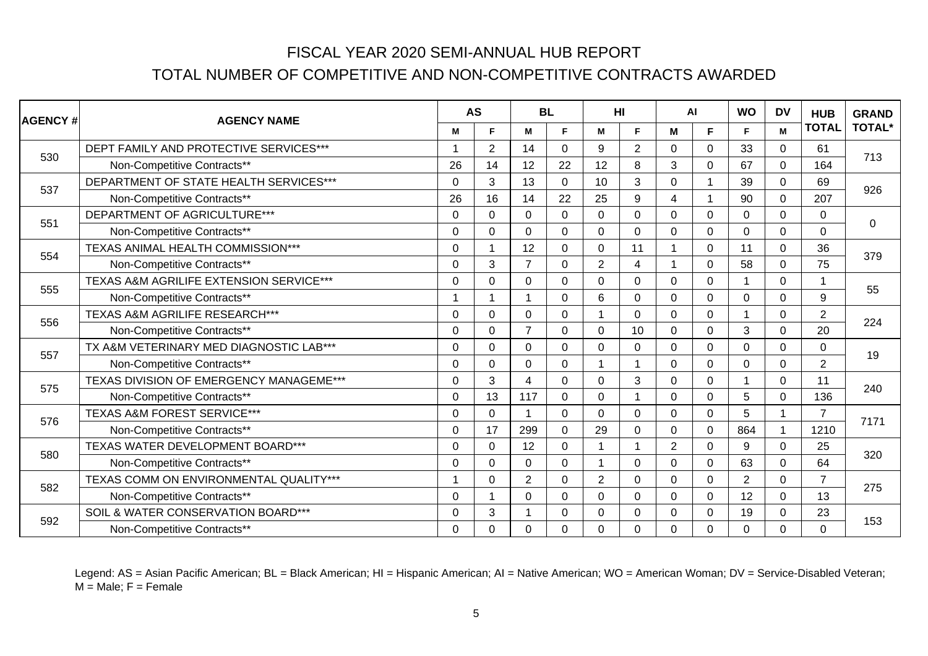| <b>AGENCY#</b> | <b>AGENCY NAME</b>                      |             | <b>AS</b>      | <b>BL</b>      |             |                | HI             |                | <b>AI</b>               | <b>WO</b>      | <b>DV</b>      | <b>HUB</b>     | <b>GRAND</b>  |
|----------------|-----------------------------------------|-------------|----------------|----------------|-------------|----------------|----------------|----------------|-------------------------|----------------|----------------|----------------|---------------|
|                |                                         | М           | F.             | M              | F.          | м              | F              | M              | F                       | F              | M              | <b>TOTAL</b>   | <b>TOTAL*</b> |
| 530            | DEPT FAMILY AND PROTECTIVE SERVICES***  |             | $\overline{2}$ | 14             | $\Omega$    | 9              | $\overline{2}$ | $\Omega$       | $\Omega$                | 33             | $\mathbf{0}$   | 61             | 713           |
|                | Non-Competitive Contracts**             | 26          | 14             | 12             | 22          | 12             | 8              | 3              | $\Omega$                | 67             | $\Omega$       | 164            |               |
| 537            | DEPARTMENT OF STATE HEALTH SERVICES***  | $\Omega$    | 3              | 13             | $\mathbf 0$ | 10             | 3              | $\Omega$       |                         | 39             | $\mathbf 0$    | 69             | 926           |
|                | Non-Competitive Contracts**             | 26          | 16             | 14             | 22          | 25             | 9              | $\overline{4}$ | $\overline{\mathbf{1}}$ | 90             | $\mathbf 0$    | 207            |               |
| 551            | DEPARTMENT OF AGRICULTURE***            | $\Omega$    | 0              | 0              | $\mathbf 0$ | $\mathbf 0$    | $\overline{0}$ | $\Omega$       | $\mathbf 0$             | $\mathbf 0$    | $\Omega$       | 0              | $\mathbf 0$   |
|                | Non-Competitive Contracts**             | $\Omega$    | $\Omega$       | $\Omega$       | $\mathbf 0$ | $\Omega$       | $\mathbf 0$    | $\Omega$       | $\Omega$                | $\Omega$       | $\mathbf 0$    | 0              |               |
| 554            | TEXAS ANIMAL HEALTH COMMISSION***       | 0           |                | 12             | $\mathbf 0$ | $\Omega$       | 11             |                | $\Omega$                | 11             | $\mathbf 0$    | 36             | 379           |
|                | Non-Competitive Contracts**             | $\Omega$    | 3              | $\overline{7}$ | $\mathbf 0$ | $\overline{2}$ | 4              |                | $\Omega$                | 58             | $\Omega$       | 75             |               |
| 555            | TEXAS A&M AGRILIFE EXTENSION SERVICE*** | $\Omega$    | 0              | 0              | $\mathbf 0$ | $\Omega$       | $\Omega$       | $\Omega$       | $\Omega$                |                | $\Omega$       | 1              | 55            |
|                | Non-Competitive Contracts**             |             |                | 1              | $\mathbf 0$ | 6              | 0              | 0              | $\Omega$                | 0              | $\Omega$       | 9              |               |
| 556            | TEXAS A&M AGRILIFE RESEARCH***          | $\Omega$    | $\Omega$       | 0              | $\mathbf 0$ | 1              | $\mathbf 0$    | $\Omega$       | $\Omega$                | 1              | $\Omega$       | $\overline{2}$ | 224           |
|                | Non-Competitive Contracts**             | $\Omega$    | 0              | $\overline{7}$ | $\mathbf 0$ | $\Omega$       | 10             | $\mathbf 0$    | $\Omega$                | 3              | $\Omega$       | 20             |               |
| 557            | TX A&M VETERINARY MED DIAGNOSTIC LAB*** | 0           | 0              | 0              | $\mathbf 0$ | $\Omega$       | $\mathbf 0$    | $\Omega$       | $\Omega$                | $\Omega$       | 0              | 0              | 19            |
|                | Non-Competitive Contracts**             | $\Omega$    | 0              | 0              | $\mathbf 0$ |                | 1              | $\Omega$       | $\Omega$                | $\Omega$       | $\Omega$       | $\overline{2}$ |               |
| 575            | TEXAS DIVISION OF EMERGENCY MANAGEME*** | $\Omega$    | 3              | 4              | $\mathbf 0$ | $\Omega$       | 3              | $\mathbf 0$    | $\Omega$                | 1              | $\Omega$       | 11             | 240           |
|                | Non-Competitive Contracts**             | $\mathbf 0$ | 13             | 117            | $\mathbf 0$ | $\Omega$       | 1              | $\Omega$       | $\Omega$                | 5              | $\Omega$       | 136            |               |
| 576            | TEXAS A&M FOREST SERVICE***             | $\Omega$    | $\Omega$       | 1              | $\mathbf 0$ | $\Omega$       | $\Omega$       | $\mathbf 0$    | $\Omega$                | 5              | $\overline{1}$ | $\overline{7}$ | 7171          |
|                | Non-Competitive Contracts**             | $\mathbf 0$ | 17             | 299            | $\mathbf 0$ | 29             | $\mathbf 0$    | $\mathbf 0$    | $\mathbf 0$             | 864            | -1             | 1210           |               |
| 580            | TEXAS WATER DEVELOPMENT BOARD***        | $\Omega$    | 0              | 12             | $\mathbf 0$ | 1              | 1              | $\overline{2}$ | $\Omega$                | 9              | $\mathbf 0$    | 25             | 320           |
|                | Non-Competitive Contracts**             | $\Omega$    | 0              | $\Omega$       | $\mathbf 0$ |                | $\Omega$       | $\mathbf 0$    | $\Omega$                | 63             | $\mathbf 0$    | 64             |               |
| 582            | TEXAS COMM ON ENVIRONMENTAL QUALITY***  |             | 0              | $\overline{2}$ | $\mathbf 0$ | $\overline{2}$ | $\Omega$       | $\Omega$       | $\Omega$                | $\overline{2}$ | $\mathbf 0$    | $\overline{7}$ | 275           |
|                | Non-Competitive Contracts**             | $\Omega$    |                | 0              | $\mathbf 0$ | $\Omega$       | $\mathbf 0$    | $\Omega$       | $\Omega$                | 12             | $\Omega$       | 13             |               |
| 592            | SOIL & WATER CONSERVATION BOARD***      | $\Omega$    | 3              | 1              | $\Omega$    | $\Omega$       | $\Omega$       | $\Omega$       | $\Omega$                | 19             | $\mathbf 0$    | 23             | 153           |
|                | Non-Competitive Contracts**             | 0           | 0              | 0              | $\mathbf 0$ | 0              | $\mathbf 0$    | $\mathbf 0$    | 0                       | $\Omega$       | $\mathbf 0$    | 0              |               |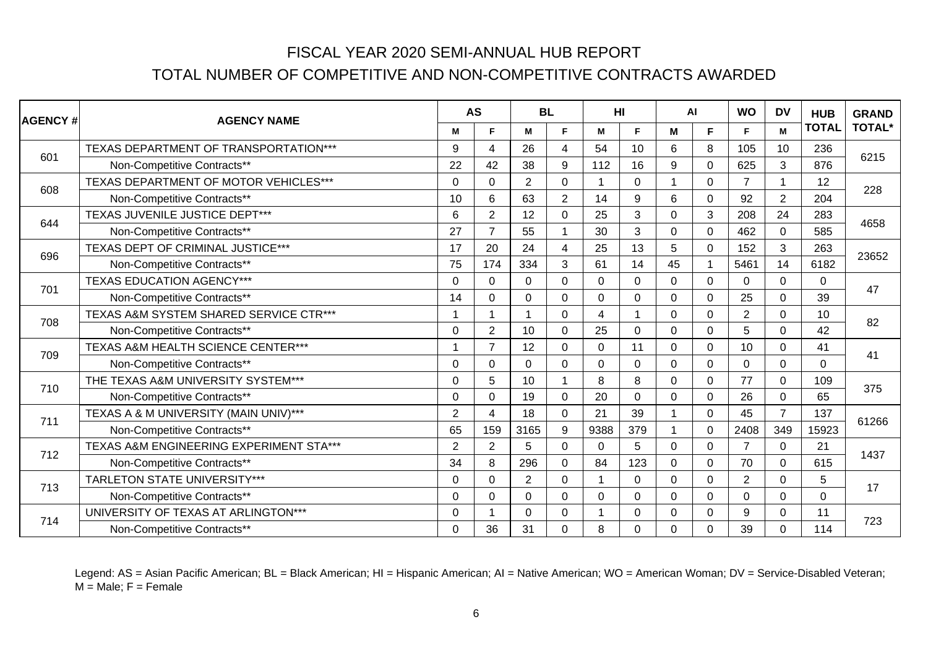| <b>AGENCY#</b> | <b>AGENCY NAME</b>                      |                | <b>AS</b>      | <b>BL</b>      |                | HI                      |                | <b>AI</b>      |              | <b>WO</b>      | <b>DV</b>      | <b>HUB</b>     | <b>GRAND</b>  |
|----------------|-----------------------------------------|----------------|----------------|----------------|----------------|-------------------------|----------------|----------------|--------------|----------------|----------------|----------------|---------------|
|                |                                         | М              | F.             | М              | F.             | М                       | F              | M              | F            | F              | M              | <b>TOTAL</b>   | <b>TOTAL*</b> |
| 601            | TEXAS DEPARTMENT OF TRANSPORTATION***   | 9              | 4              | 26             | $\overline{4}$ | 54                      | 10             | 6              | 8            | 105            | 10             | 236            | 6215          |
|                | Non-Competitive Contracts**             | 22             | 42             | 38             | 9              | 112                     | 16             | 9              | $\Omega$     | 625            | 3              | 876            |               |
| 608            | TEXAS DEPARTMENT OF MOTOR VEHICLES***   | 0              | 0              | $\overline{2}$ | $\Omega$       |                         | $\Omega$       |                | $\Omega$     | $\overline{7}$ |                | 12             | 228           |
|                | Non-Competitive Contracts**             | 10             | 6              | 63             | $\overline{2}$ | 14                      | 9              | 6              | $\mathbf 0$  | 92             | $\overline{2}$ | 204            |               |
| 644            | TEXAS JUVENILE JUSTICE DEPT***          | 6              | $\overline{2}$ | 12             | $\mathbf 0$    | 25                      | 3              | $\Omega$       | 3            | 208            | 24             | 283            | 4658          |
|                | Non-Competitive Contracts**             | 27             | $\overline{7}$ | 55             | $\mathbf{1}$   | 30                      | 3              | $\Omega$       | $\Omega$     | 462            | $\mathbf 0$    | 585            |               |
| 696            | TEXAS DEPT OF CRIMINAL JUSTICE***       | 17             | 20             | 24             | $\overline{4}$ | 25                      | 13             | 5              | $\mathbf{0}$ | 152            | 3              | 263            | 23652         |
|                | Non-Competitive Contracts**             | 75             | 174            | 334            | 3              | 61                      | 14             | 45             |              | 5461           | 14             | 6182           |               |
| 701            | <b>TEXAS EDUCATION AGENCY***</b>        | 0              | 0              | 0              | $\mathbf 0$    | 0                       | $\mathbf 0$    | 0              | $\mathbf 0$  | 0              | $\mathbf 0$    | 0              | 47            |
|                | Non-Competitive Contracts**             | 14             | 0              | $\mathbf 0$    | $\mathbf 0$    | $\Omega$                | $\overline{0}$ | $\Omega$       | $\mathbf 0$  | 25             | $\Omega$       | 39             |               |
| 708            | TEXAS A&M SYSTEM SHARED SERVICE CTR***  |                |                | 1              | $\mathbf 0$    | 4                       | 1              | $\Omega$       | $\mathbf{0}$ | $\overline{2}$ | $\Omega$       | 10             | 82            |
|                | Non-Competitive Contracts**             | 0              | $\overline{2}$ | 10             | $\mathbf 0$    | 25                      | 0              | 0              | 0            | 5              | $\Omega$       | 42             |               |
| 709            | TEXAS A&M HEALTH SCIENCE CENTER***      |                | $\overline{7}$ | 12             | $\mathbf 0$    | $\mathbf{0}$            | 11             | $\overline{0}$ | $\mathbf{0}$ | 10             | $\overline{0}$ | 41             | 41            |
|                | Non-Competitive Contracts**             | 0              | 0              | $\mathbf 0$    | $\mathbf 0$    | $\mathbf 0$             | 0              | $\Omega$       | $\mathbf 0$  | $\Omega$       | $\mathbf 0$    | $\overline{0}$ |               |
| 710            | THE TEXAS A&M UNIVERSITY SYSTEM***      | $\Omega$       | 5              | 10             | $\overline{1}$ | 8                       | 8              | $\Omega$       | $\mathbf 0$  | 77             | $\Omega$       | 109            | 375           |
|                | Non-Competitive Contracts**             | 0              | $\Omega$       | 19             | $\mathbf 0$    | 20                      | $\Omega$       | $\Omega$       | $\Omega$     | 26             | $\Omega$       | 65             |               |
| 711            | TEXAS A & M UNIVERSITY (MAIN UNIV)***   | $\overline{2}$ | 4              | 18             | $\mathbf 0$    | 21                      | 39             |                | $\mathbf 0$  | 45             | $\overline{7}$ | 137            | 61266         |
|                | Non-Competitive Contracts**             | 65             | 159            | 3165           | 9              | 9388                    | 379            |                | $\Omega$     | 2408           | 349            | 15923          |               |
| 712            | TEXAS A&M ENGINEERING EXPERIMENT STA*** | $\overline{2}$ | $\overline{2}$ | 5              | $\mathbf 0$    | $\mathbf{0}$            | 5              | $\Omega$       | $\mathbf{0}$ | $\overline{7}$ | $\Omega$       | 21             | 1437          |
|                | Non-Competitive Contracts**             | 34             | 8              | 296            | $\mathbf 0$    | 84                      | 123            | $\Omega$       | $\Omega$     | 70             | $\Omega$       | 615            |               |
| 713            | <b>TARLETON STATE UNIVERSITY***</b>     | $\Omega$       | $\Omega$       | $\overline{2}$ | $\mathbf 0$    | $\overline{\mathbf{1}}$ | $\Omega$       | $\Omega$       | $\Omega$     | $\overline{2}$ | $\Omega$       | 5              | 17            |
|                | Non-Competitive Contracts**             | 0              | 0              | $\Omega$       | $\mathbf 0$    | $\Omega$                | $\Omega$       | 0              | $\Omega$     | $\Omega$       | $\Omega$       | $\mathbf 0$    |               |
| 714            | UNIVERSITY OF TEXAS AT ARLINGTON***     | 0              |                | $\Omega$       | $\mathbf 0$    |                         | $\Omega$       | $\Omega$       | $\Omega$     | 9              | $\Omega$       | 11             | 723           |
|                | Non-Competitive Contracts**             | 0              | 36             | 31             | $\Omega$       | 8                       | $\Omega$       | $\Omega$       | $\Omega$     | 39             | $\Omega$       | 114            |               |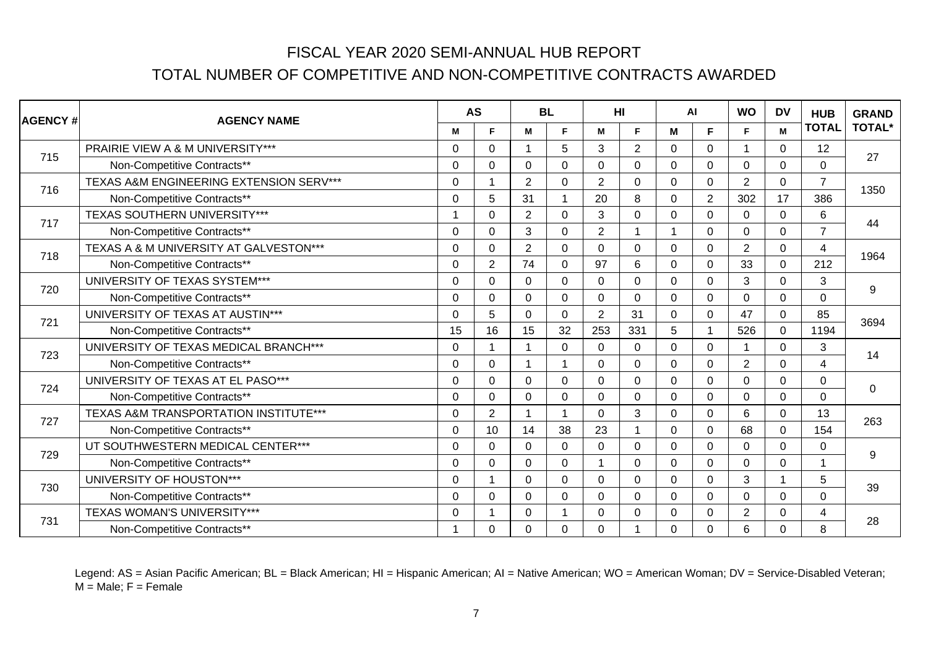| <b>AGENCY#</b> | <b>AGENCY NAME</b>                          | <b>AS</b> |                         |                | <b>BL</b>      |                | HI           |                | <b>AI</b>      | <b>WO</b>      | <b>DV</b>      | <b>HUB</b>     | <b>GRAND</b>  |
|----------------|---------------------------------------------|-----------|-------------------------|----------------|----------------|----------------|--------------|----------------|----------------|----------------|----------------|----------------|---------------|
|                |                                             | М         | F.                      | М              | F.             | М              | F            | M              | F              | F              | M              | <b>TOTAL</b>   | <b>TOTAL*</b> |
| 715            | <b>PRAIRIE VIEW A &amp; M UNIVERSITY***</b> | 0         | 0                       |                | 5              | 3              | 2            | 0              | $\mathbf{0}$   | 1              | $\Omega$       | 12             | 27            |
|                | Non-Competitive Contracts**                 | 0         | 0                       | $\Omega$       | $\mathbf 0$    | $\Omega$       | $\Omega$     | $\Omega$       | $\Omega$       | $\Omega$       | $\Omega$       | $\Omega$       |               |
| 716            | TEXAS A&M ENGINEERING EXTENSION SERV***     | 0         |                         | $\overline{2}$ | $\Omega$       | $\overline{2}$ | $\Omega$     | $\Omega$       | $\Omega$       | $\overline{2}$ | $\Omega$       | $\overline{7}$ | 1350          |
|                | Non-Competitive Contracts**                 | 0         | 5                       | 31             | $\overline{1}$ | 20             | 8            | 0              | $\overline{2}$ | 302            | 17             | 386            |               |
| 717            | <b>TEXAS SOUTHERN UNIVERSITY***</b>         |           | $\Omega$                | $\overline{2}$ | $\mathbf 0$    | 3              | $\Omega$     | $\Omega$       | $\Omega$       | $\Omega$       | $\Omega$       | 6              | 44            |
|                | Non-Competitive Contracts**                 | 0         | 0                       | 3              | $\mathbf 0$    | $\overline{2}$ | 1            |                | $\Omega$       | $\Omega$       | $\Omega$       | $\overline{7}$ |               |
| 718            | TEXAS A & M UNIVERSITY AT GALVESTON***      | 0         | 0                       | $\overline{2}$ | $\mathbf 0$    | $\mathbf{0}$   | $\mathbf{0}$ | $\Omega$       | $\Omega$       | $\overline{2}$ | $\Omega$       | 4              | 1964          |
|                | Non-Competitive Contracts**                 | 0         | $\overline{2}$          | 74             | $\mathbf 0$    | 97             | 6            | $\Omega$       | $\mathbf{0}$   | 33             | $\Omega$       | 212            |               |
| 720            | UNIVERSITY OF TEXAS SYSTEM***               | 0         | 0                       | $\mathbf 0$    | $\mathbf 0$    | 0              | $\mathbf 0$  | 0              | $\mathbf 0$    | 3              | $\overline{0}$ | 3              | 9             |
|                | Non-Competitive Contracts**                 | $\Omega$  | 0                       | $\mathbf 0$    | $\mathbf 0$    | $\Omega$       | $\mathbf 0$  | $\Omega$       | $\mathbf 0$    | $\mathbf 0$    | $\Omega$       | $\mathbf 0$    |               |
| 721            | UNIVERSITY OF TEXAS AT AUSTIN***            | $\Omega$  | 5                       | $\Omega$       | $\mathbf 0$    | 2              | 31           | $\Omega$       | $\mathbf 0$    | 47             | $\Omega$       | 85             | 3694          |
|                | Non-Competitive Contracts**                 | 15        | 16                      | 15             | 32             | 253            | 331          | 5              |                | 526            | $\Omega$       | 1194           |               |
| 723            | UNIVERSITY OF TEXAS MEDICAL BRANCH***       | $\Omega$  |                         |                | $\mathbf 0$    | $\mathbf{0}$   | $\Omega$     | $\overline{0}$ | $\mathbf{0}$   |                | $\overline{0}$ | 3              | 14            |
|                | Non-Competitive Contracts**                 | 0         | 0                       |                | $\overline{1}$ | $\mathbf 0$    | $\mathbf 0$  | $\overline{0}$ | $\mathbf 0$    | $\overline{2}$ | $\overline{0}$ | $\overline{4}$ |               |
| 724            | UNIVERSITY OF TEXAS AT EL PASO***           | $\Omega$  | 0                       | $\Omega$       | $\overline{0}$ | $\Omega$       | $\mathbf 0$  | $\Omega$       | $\overline{0}$ | $\Omega$       | $\Omega$       | $\mathbf 0$    | $\mathbf 0$   |
|                | Non-Competitive Contracts**                 | $\Omega$  | $\Omega$                | $\Omega$       | $\Omega$       | $\Omega$       | $\Omega$     | $\Omega$       | $\Omega$       | $\Omega$       | $\Omega$       | $\overline{0}$ |               |
| 727            | TEXAS A&M TRANSPORTATION INSTITUTE***       | 0         | $\overline{2}$          |                | $\mathbf{1}$   | $\mathbf 0$    | 3            | 0              | $\mathbf 0$    | 6              | $\Omega$       | 13             | 263           |
|                | Non-Competitive Contracts**                 | $\Omega$  | 10                      | 14             | 38             | 23             | 1            | $\Omega$       | $\Omega$       | 68             | $\Omega$       | 154            |               |
| 729            | UT SOUTHWESTERN MEDICAL CENTER***           | 0         | $\Omega$                | $\Omega$       | $\mathbf 0$    | $\mathbf{0}$   | $\Omega$     | $\Omega$       | $\Omega$       | $\Omega$       | $\Omega$       | 0              | 9             |
|                | Non-Competitive Contracts**                 | 0         | 0                       | $\Omega$       | $\mathbf 0$    |                | $\Omega$     | $\Omega$       | $\Omega$       | $\Omega$       | $\Omega$       |                |               |
| 730            | UNIVERSITY OF HOUSTON***                    | $\Omega$  | $\overline{\mathbf{A}}$ | $\Omega$       | $\mathbf 0$    | $\Omega$       | $\Omega$     | $\Omega$       | $\Omega$       | 3              | -1             | 5              | 39            |
|                | Non-Competitive Contracts**                 | 0         | 0                       | $\Omega$       | $\mathbf 0$    | $\mathbf{0}$   | $\Omega$     | 0              | $\Omega$       | $\Omega$       | $\Omega$       | $\mathbf 0$    |               |
| 731            | TEXAS WOMAN'S UNIVERSITY***                 | 0         |                         | $\Omega$       | $\overline{1}$ | $\Omega$       | $\Omega$     | $\Omega$       | $\Omega$       | $\overline{2}$ | $\Omega$       | 4              | 28            |
|                | Non-Competitive Contracts**                 |           | 0                       | $\Omega$       | $\Omega$       | $\Omega$       |              | $\Omega$       | $\Omega$       | 6              | $\Omega$       | 8              |               |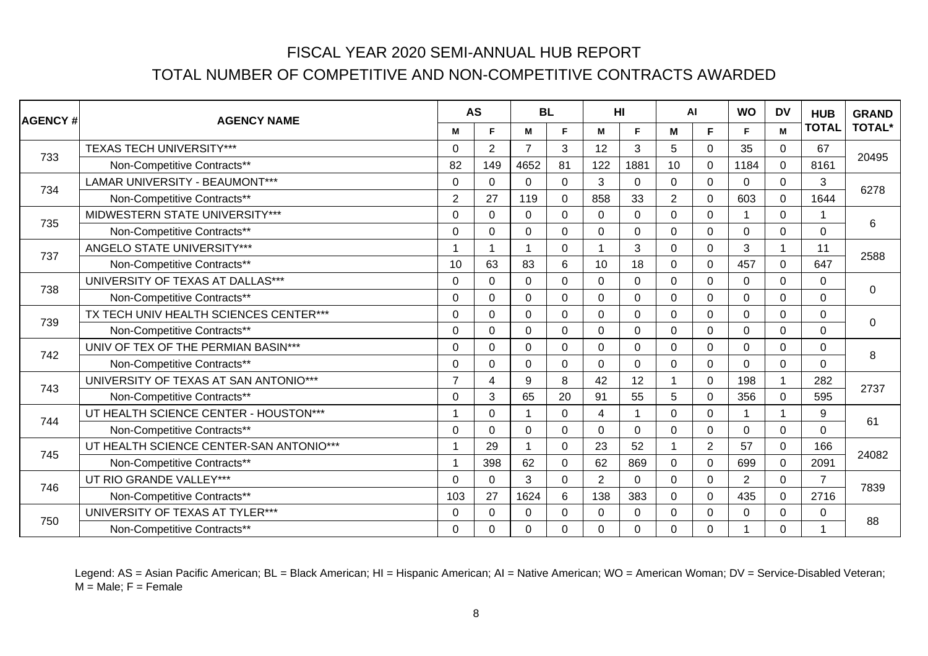| <b>AGENCY#</b> | <b>AGENCY NAME</b>                      |                | <b>AS</b>      | <b>BL</b>      |                |                | HI             | AI             |                | <b>WO</b> | <b>DV</b>               | <b>HUB</b>     | <b>GRAND</b>   |
|----------------|-----------------------------------------|----------------|----------------|----------------|----------------|----------------|----------------|----------------|----------------|-----------|-------------------------|----------------|----------------|
|                |                                         | M              | F.             | M              | F.             | M              | F.             | M              | F              | F         | M                       | <b>TOTAL</b>   | <b>TOTAL*</b>  |
| 733            | <b>TEXAS TECH UNIVERSITY***</b>         | 0              | $\overline{2}$ | $\overline{7}$ | 3              | 12             | 3              | 5              | $\mathbf{0}$   | 35        | $\overline{0}$          | 67             |                |
|                | Non-Competitive Contracts**             | 82             | 149            | 4652           | 81             | 122            | 1881           | 10             | $\mathbf{0}$   | 1184      | $\Omega$                | 8161           | 20495          |
| 734            | <b>LAMAR UNIVERSITY - BEAUMONT***</b>   | 0              | $\Omega$       | $\Omega$       | $\mathbf 0$    | 3              | $\mathbf{0}$   | $\Omega$       | $\mathbf{0}$   | $\Omega$  | $\overline{0}$          | 3              | 6278           |
|                | Non-Competitive Contracts**             | $\overline{2}$ | 27             | 119            | $\mathbf 0$    | 858            | 33             | $\overline{2}$ | $\Omega$       | 603       | $\Omega$                | 1644           |                |
| 735            | MIDWESTERN STATE UNIVERSITY***          | $\Omega$       | 0              | $\Omega$       | $\overline{0}$ | $\mathbf 0$    | $\mathbf 0$    | $\Omega$       | $\Omega$       |           | $\Omega$                |                | 6              |
|                | Non-Competitive Contracts**             | $\Omega$       | $\Omega$       | $\Omega$       | $\mathbf 0$    | $\Omega$       | $\Omega$       | $\Omega$       | $\Omega$       | $\Omega$  | $\Omega$                | $\Omega$       |                |
| 737            | ANGELO STATE UNIVERSITY***              |                |                |                | $\mathbf 0$    |                | 3              | 0              | $\mathbf{0}$   | 3         | -1                      | 11             | 2588           |
|                | Non-Competitive Contracts**             | 10             | 63             | 83             | 6              | 10             | 18             | $\Omega$       | $\mathbf{0}$   | 457       | $\Omega$                | 647            |                |
| 738            | UNIVERSITY OF TEXAS AT DALLAS***        | $\Omega$       | $\Omega$       | $\Omega$       | $\mathbf 0$    | $\mathbf{0}$   | 0              | $\Omega$       | $\mathbf{0}$   | $\Omega$  | $\Omega$                | 0              | $\overline{0}$ |
|                | Non-Competitive Contracts**             | 0              | 0              | $\mathbf 0$    | $\mathbf 0$    | $\mathbf 0$    | $\mathbf 0$    | 0              | $\mathbf 0$    | 0         | $\overline{0}$          | $\mathbf 0$    |                |
| 739            | TX TECH UNIV HEALTH SCIENCES CENTER***  | $\Omega$       | 0              | $\Omega$       | $\mathbf 0$    | $\Omega$       | $\mathbf 0$    | $\Omega$       | $\mathbf 0$    | $\Omega$  | $\Omega$                | $\mathbf 0$    | $\mathbf 0$    |
|                | Non-Competitive Contracts**             | $\Omega$       | $\Omega$       | $\Omega$       | $\overline{0}$ | $\Omega$       | $\Omega$       | $\Omega$       | $\Omega$       | $\Omega$  | $\Omega$                | $\mathbf 0$    |                |
| 742            | UNIV OF TEX OF THE PERMIAN BASIN***     | 0              | 0              | $\Omega$       | $\mathbf 0$    | $\Omega$       | 0              | 0              | 0              | $\Omega$  | $\Omega$                | $\mathbf 0$    | 8              |
|                | Non-Competitive Contracts**             | 0              | 0              | $\Omega$       | $\mathbf 0$    | $\mathbf{0}$   | $\Omega$       | $\Omega$       | $\mathbf{0}$   | $\Omega$  | $\Omega$                | $\Omega$       |                |
| 743            | UNIVERSITY OF TEXAS AT SAN ANTONIO***   | $\overline{7}$ | 4              | 9              | 8              | 42             | 12             |                | $\mathbf 0$    | 198       |                         | 282            | 2737           |
|                | Non-Competitive Contracts**             | 0              | 3              | 65             | 20             | 91             | 55             | 5              | $\mathbf 0$    | 356       | $\mathbf 0$             | 595            |                |
| 744            | UT HEALTH SCIENCE CENTER - HOUSTON***   |                | 0              | $\overline{ }$ | $\mathbf 0$    | 4              | $\overline{1}$ | $\Omega$       | $\mathbf 0$    |           | $\overline{\mathbf{A}}$ | 9              | 61             |
|                | Non-Competitive Contracts**             | 0              | 0              | $\Omega$       | $\mathbf 0$    | $\Omega$       | $\mathbf{0}$   | 0              | $\mathbf{0}$   | $\Omega$  | $\Omega$                | $\mathbf 0$    |                |
| 745            | UT HEALTH SCIENCE CENTER-SAN ANTONIO*** |                | 29             |                | $\mathbf 0$    | 23             | 52             |                | $\overline{2}$ | 57        | $\Omega$                | 166            | 24082          |
|                | Non-Competitive Contracts**             |                | 398            | 62             | $\mathbf 0$    | 62             | 869            | $\Omega$       | $\Omega$       | 699       | $\Omega$                | 2091           |                |
| 746            | UT RIO GRANDE VALLEY***                 | 0              | 0              | 3              | $\mathbf 0$    | $\overline{2}$ | $\Omega$       | 0              | $\mathbf 0$    | 2         | $\Omega$                | $\overline{7}$ | 7839           |
|                | Non-Competitive Contracts**             | 103            | 27             | 1624           | 6              | 138            | 383            | $\Omega$       | $\Omega$       | 435       | $\Omega$                | 2716           |                |
| 750            | UNIVERSITY OF TEXAS AT TYLER***         | 0              | 0              | $\Omega$       | $\Omega$       | $\mathbf{0}$   | $\mathbf{0}$   | $\Omega$       | $\mathbf{0}$   | $\Omega$  | $\Omega$                | 0              | 88             |
|                | Non-Competitive Contracts**             | 0              | 0              | $\overline{0}$ | $\mathbf 0$    | $\mathbf 0$    | $\overline{0}$ | $\Omega$       | 0              |           | $\Omega$                |                |                |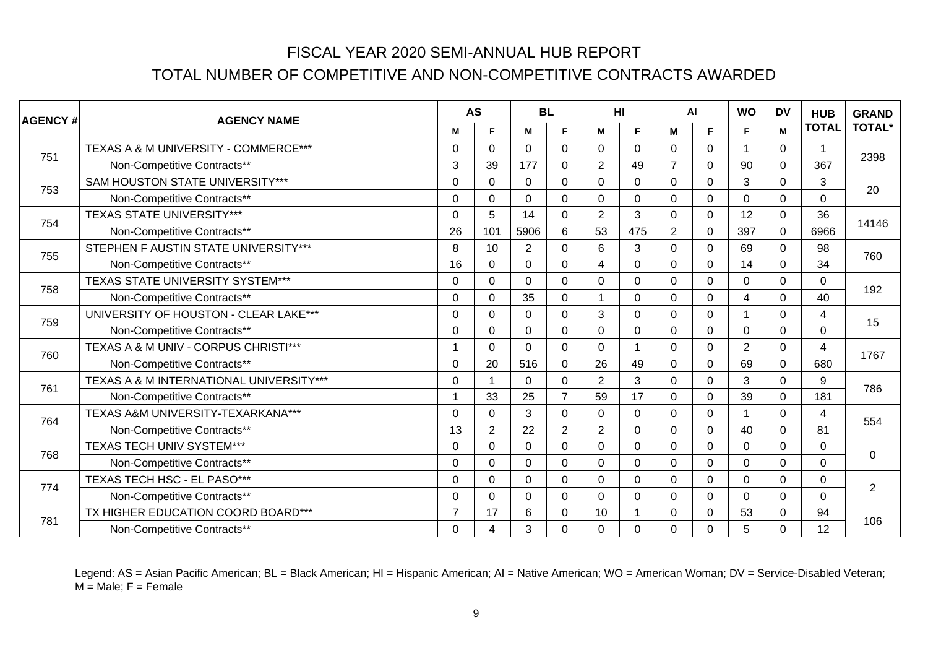| <b>AGENCY #</b> | <b>AGENCY NAME</b>                      |                | <b>AS</b>       | <b>BL</b>      |                |                | HI          | AI             |                | <b>WO</b>      | <b>DV</b>      | <b>HUB</b>     | <b>GRAND</b>   |
|-----------------|-----------------------------------------|----------------|-----------------|----------------|----------------|----------------|-------------|----------------|----------------|----------------|----------------|----------------|----------------|
|                 |                                         | M              | F.              | M              | E              | M              | F           | M              | F              | F              | M              | <b>TOTAL</b>   | <b>TOTAL*</b>  |
| 751             | TEXAS A & M UNIVERSITY - COMMERCE***    | 0              | 0               | $\Omega$       | $\mathbf 0$    | $\Omega$       | $\Omega$    | $\Omega$       | $\mathbf 0$    | 1              | $\overline{0}$ | 1              | 2398           |
|                 | Non-Competitive Contracts**             | 3              | 39              | 177            | $\mathbf 0$    | $\overline{2}$ | 49          |                | $\Omega$       | 90             | $\Omega$       | 367            |                |
| 753             | SAM HOUSTON STATE UNIVERSITY***         | $\Omega$       | 0               | $\Omega$       | $\mathbf 0$    | $\mathbf{0}$   | $\Omega$    | $\Omega$       | $\mathbf 0$    | 3              | $\overline{0}$ | 3              | 20             |
|                 | Non-Competitive Contracts**             | 0              | 0               | $\mathbf 0$    | $\mathbf 0$    | 0              | 0           | 0              | $\mathbf 0$    | $\Omega$       | $\overline{0}$ | $\mathbf 0$    |                |
| 754             | <b>TEXAS STATE UNIVERSITY***</b>        | 0              | 5               | 14             | $\mathbf 0$    | $\overline{2}$ | 3           | $\overline{0}$ | $\mathbf 0$    | 12             | $\Omega$       | 36             | 14146          |
|                 | Non-Competitive Contracts**             | 26             | 101             | 5906           | $6\phantom{1}$ | 53             | 475         | 2              | $\mathbf 0$    | 397            | $\Omega$       | 6966           |                |
| 755             | STEPHEN F AUSTIN STATE UNIVERSITY***    | 8              | 10 <sup>1</sup> | $\overline{2}$ | $\mathbf 0$    | 6              | 3           | $\Omega$       | $\mathbf{0}$   | 69             | $\Omega$       | 98             | 760            |
|                 | Non-Competitive Contracts**             | 16             | 0               | $\mathbf 0$    | $\mathbf 0$    | 4              | $\mathbf 0$ | $\overline{0}$ | $\mathbf 0$    | 14             | $\overline{0}$ | 34             |                |
| 758             | <b>TEXAS STATE UNIVERSITY SYSTEM***</b> | $\Omega$       | $\Omega$        | $\Omega$       | $\mathbf 0$    | 0              | $\Omega$    | 0              | $\Omega$       | 0              | $\Omega$       | $\Omega$       | 192            |
|                 | Non-Competitive Contracts**             | 0              | 0               | 35             | $\mathbf 0$    |                | $\mathbf 0$ | $\Omega$       | $\overline{0}$ | 4              | $\Omega$       | 40             |                |
| 759             | UNIVERSITY OF HOUSTON - CLEAR LAKE***   | 0              | 0               | $\Omega$       | $\mathbf 0$    | 3              | $\Omega$    | $\Omega$       | $\mathbf 0$    | 1              | $\overline{0}$ | 4              | 15             |
|                 | Non-Competitive Contracts**             | $\Omega$       | $\Omega$        | $\Omega$       | $\mathbf 0$    | $\Omega$       | $\Omega$    | $\Omega$       | $\Omega$       | $\Omega$       | $\Omega$       | $\overline{0}$ |                |
| 760             | TEXAS A & M UNIV - CORPUS CHRISTI***    |                | 0               | 0              | $\mathbf 0$    | $\Omega$       | 1           | $\Omega$       | $\Omega$       | $\overline{2}$ | $\Omega$       | 4              | 1767           |
|                 | Non-Competitive Contracts**             | $\Omega$       | 20              | 516            | $\mathbf 0$    | 26             | 49          | $\Omega$       | $\Omega$       | 69             | $\Omega$       | 680            |                |
| 761             | TEXAS A & M INTERNATIONAL UNIVERSITY*** | $\Omega$       |                 | $\Omega$       | $\mathbf 0$    | $\overline{2}$ | 3           | $\Omega$       | $\mathbf 0$    | 3              | $\Omega$       | 9              | 786            |
|                 | Non-Competitive Contracts**             |                | 33              | 25             | $\overline{7}$ | 59             | 17          | $\Omega$       | $\Omega$       | 39             | $\Omega$       | 181            |                |
| 764             | TEXAS A&M UNIVERSITY-TEXARKANA***       | $\Omega$       | $\Omega$        | 3              | $\mathbf 0$    | $\Omega$       | $\Omega$    | $\Omega$       | $\Omega$       | 1              | $\Omega$       | 4              | 554            |
|                 | Non-Competitive Contracts**             | 13             | $\overline{2}$  | 22             | $\overline{2}$ | $\overline{2}$ | $\Omega$    | $\Omega$       | $\Omega$       | 40             | $\Omega$       | 81             |                |
| 768             | <b>TEXAS TECH UNIV SYSTEM***</b>        | $\Omega$       | $\Omega$        | $\Omega$       | $\mathbf 0$    | $\Omega$       | $\Omega$    | $\Omega$       | $\Omega$       | $\Omega$       | $\Omega$       | 0              | $\mathbf 0$    |
|                 | Non-Competitive Contracts**             | $\Omega$       | $\Omega$        | $\Omega$       | $\mathbf 0$    | $\mathbf 0$    | $\Omega$    | $\Omega$       | $\Omega$       | $\Omega$       | $\Omega$       | $\overline{0}$ |                |
| 774             | TEXAS TECH HSC - EL PASO***             | $\Omega$       | 0               | $\Omega$       | $\mathbf 0$    | $\Omega$       | $\Omega$    | $\Omega$       | $\mathbf 0$    | $\Omega$       | $\Omega$       | $\mathbf 0$    | $\overline{2}$ |
|                 | Non-Competitive Contracts**             | $\Omega$       | $\Omega$        | $\Omega$       | $\mathbf 0$    | $\Omega$       | $\Omega$    | $\Omega$       | $\Omega$       | $\Omega$       | $\Omega$       | $\Omega$       |                |
| 781             | TX HIGHER EDUCATION COORD BOARD***      | $\overline{7}$ | 17              | 6              | $\mathbf 0$    | 10             | 1           | $\Omega$       | $\mathbf{0}$   | 53             | $\Omega$       | 94             | 106            |
|                 | Non-Competitive Contracts**             | $\Omega$       | 4               | 3              | $\mathbf 0$    | $\Omega$       | $\Omega$    | $\Omega$       | $\Omega$       | 5              | $\Omega$       | 12             |                |